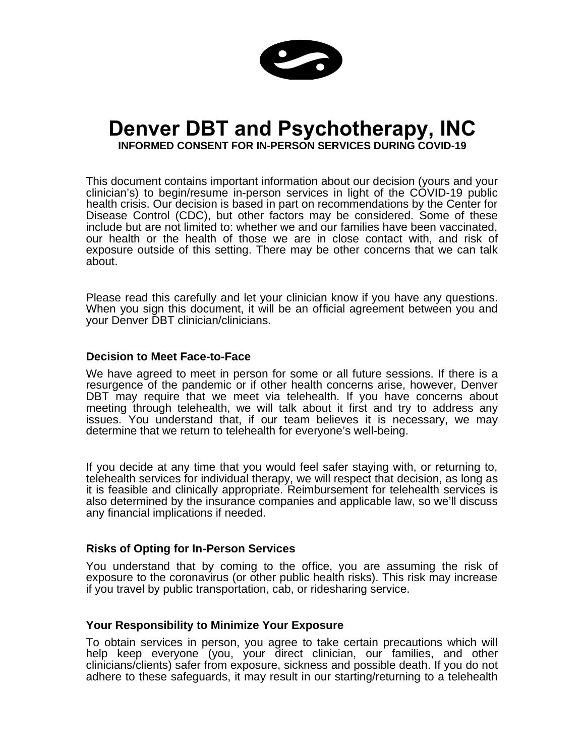

# **Denver DBT and Psychotherapy, INC**

**INFORMED CONSENT FOR IN-PERSON SERVICES DURING COVID-19**

This document contains important information about our decision (yours and your clinician's) to begin/resume in-person services in light of the COVID-19 public health crisis. Our decision is based in part on recommendations by the Center for Disease Control (CDC), but other factors may be considered. Some of these include but are not limited to: whether we and our families have been vaccinated, our health or the health of those we are in close contact with, and risk of exposure outside of this setting. There may be other concerns that we can talk about.

Please read this carefully and let your clinician know if you have any questions. When you sign this document, it will be an official agreement between you and your Denver DBT clinician/clinicians.

### **Decision to Meet Face-to-Face**

We have agreed to meet in person for some or all future sessions. If there is a resurgence of the pandemic or if other health concerns arise, however, Denver DBT may require that we meet via telehealth. If you have concerns about meeting through telehealth, we will talk about it first and try to address any issues. You understand that, if our team believes it is necessary, we may determine that we return to telehealth for everyone's well-being.

If you decide at any time that you would feel safer staying with, or returning to, telehealth services for individual therapy, we will respect that decision, as long as it is feasible and clinically appropriate. Reimbursement for telehealth services is also determined by the insurance companies and applicable law, so we'll discuss any financial implications if needed.

### **Risks of Opting for In-Person Services**

You understand that by coming to the office, you are assuming the risk of exposure to the coronavirus (or other public health risks). This risk may increase if you travel by public transportation, cab, or ridesharing service.

## **Your Responsibility to Minimize Your Exposure**

To obtain services in person, you agree to take certain precautions which will help keep everyone (you, your direct clinician, our families, and other clinicians/clients) safer from exposure, sickness and possible death. If you do not adhere to these safeguards, it may result in our starting/returning to a telehealth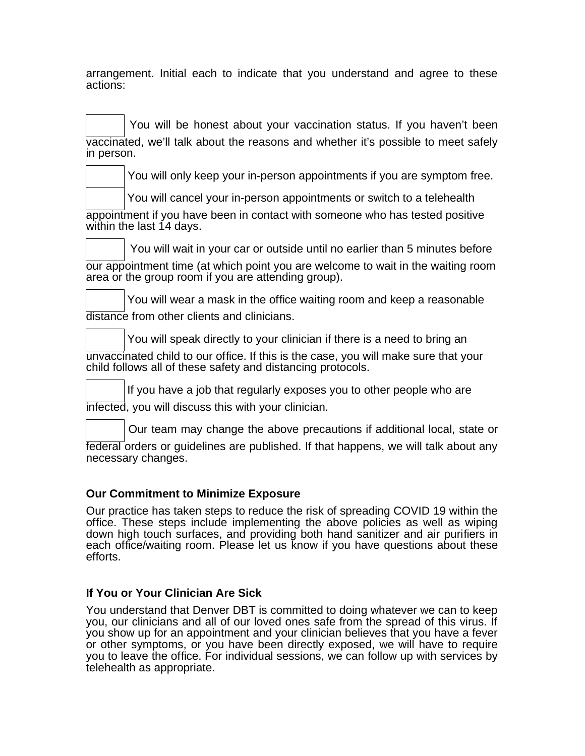arrangement. Initial each to indicate that you understand and agree to these actions:

You will be honest about your vaccination status. If you haven't been vaccinated, we'll talk about the reasons and whether it's possible to meet safely in person.

You will only keep your in-person appointments if you are symptom free.

You will cancel your in-person appointments or switch to a telehealth

appointment if you have been in contact with someone who has tested positive within the last 14 days.

 You will wait in your car or outside until no earlier than 5 minutes before our appointment time (at which point you are welcome to wait in the waiting room area or the group room if you are attending group).

You will wear a mask in the office waiting room and keep a reasonable distance from other clients and clinicians.

You will speak directly to your clinician if there is a need to bring an unvaccinated child to our office. If this is the case, you will make sure that your child follows all of these safety and distancing protocols.

If you have a job that regularly exposes you to other people who are

infected, you will discuss this with your clinician.

 Our team may change the above precautions if additional local, state or federal orders or guidelines are published. If that happens, we will talk about any necessary changes.

# **Our Commitment to Minimize Exposure**

Our practice has taken steps to reduce the risk of spreading COVID 19 within the office. These steps include implementing the above policies as well as wiping down high touch surfaces, and providing both hand sanitizer and air purifiers in each office/waiting room. Please let us know if you have questions about these efforts.

# **If You or Your Clinician Are Sick**

You understand that Denver DBT is committed to doing whatever we can to keep you, our clinicians and all of our loved ones safe from the spread of this virus. If you show up for an appointment and your clinician believes that you have a fever or other symptoms, or you have been directly exposed, we will have to require you to leave the office. For individual sessions, we can follow up with services by telehealth as appropriate.